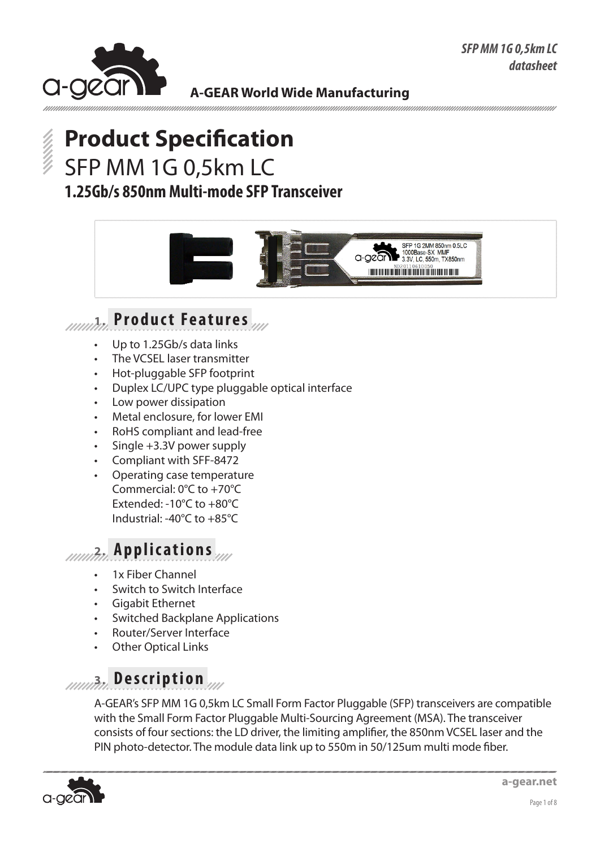

# **Product Specification** SFP MM 1G 0,5km LC **1.25Gb/s 850nm Multi-mode SFP Transceiver**



# **1. Product Features**

- Up to 1.25Gb/s data links
- The VCSEL laser transmitter
- Hot-pluggable SFP footprint
- Duplex LC/UPC type pluggable optical interface
- Low power dissipation
- Metal enclosure, for lower EMI
- • RoHS compliant and lead-free
- Single  $+3.3V$  power supply
- Compliant with SFF-8472
- Operating case temperature Commercial: 0°C to +70°C Extended: -10°C to +80°C Industrial: -40°C to +85°C

### **2. Applications**

- 1x Fiber Channel
- Switch to Switch Interface
- **Gigabit Ethernet**
- **Switched Backplane Applications**
- Router/Server Interface
- **Other Optical Links**

## **3. Description**

A-GEAR's SFP MM 1G 0,5km LC Small Form Factor Pluggable (SFP) transceivers are compatible with the Small Form Factor Pluggable Multi-Sourcing Agreement (MSA). The transceiver consists of four sections: the LD driver, the limiting amplifier, the 850nm VCSEL laser and the PIN photo-detector. The module data link up to 550m in 50/125um multi mode fiber.

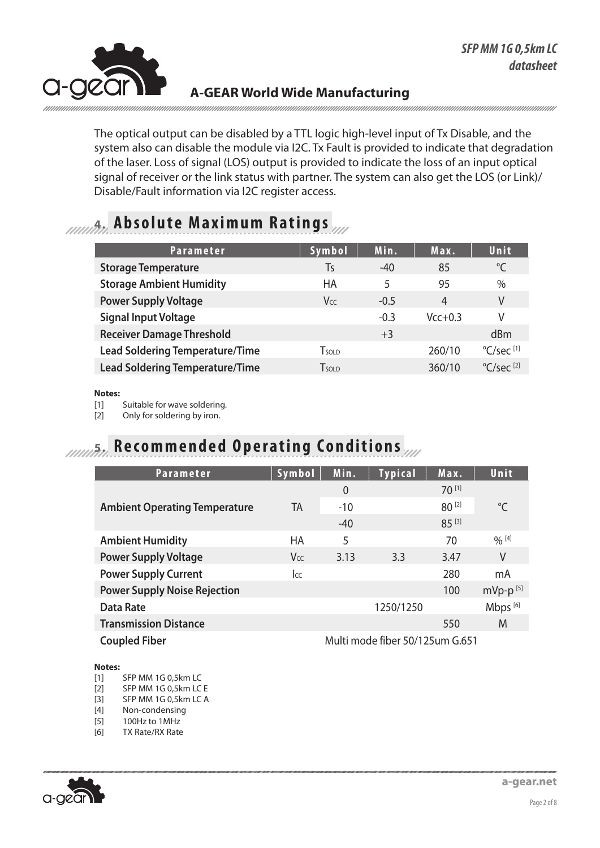

The optical output can be disabled by a TTL logic high-level input of Tx Disable, and the system also can disable the module via I2C. Tx Fault is provided to indicate that degradation of the laser. Loss of signal (LOS) output is provided to indicate the loss of an input optical signal of receiver or the link status with partner. The system can also get the LOS (or Link)/ Disable/Fault information via I2C register access.

### **4. Absolute Maximum Ratings**

| <b>Parameter</b>                       | Symbol        | Min.   | Max.      | Unit                            |
|----------------------------------------|---------------|--------|-----------|---------------------------------|
| <b>Storage Temperature</b>             | Ts            | $-40$  | 85        | °C                              |
| <b>Storage Ambient Humidity</b>        | НA            | 5      | 95        | $\%$                            |
| <b>Power Supply Voltage</b>            | Vcc           | $-0.5$ | 4         | V                               |
| <b>Signal Input Voltage</b>            |               | $-0.3$ | $Vcc+0.3$ | V                               |
| <b>Receiver Damage Threshold</b>       |               | $+3$   |           | dBm                             |
| <b>Lead Soldering Temperature/Time</b> | $T$ sol d     |        | 260/10    | $^{\circ}$ C/sec <sup>[1]</sup> |
| <b>Lead Soldering Temperature/Time</b> | <b>T</b> sold |        | 360/10    | $\mathrm{C/sec}$ <sup>[2]</sup> |

#### **Notes:**

[1] Suitable for wave soldering.

[2] Only for soldering by iron.

### **5. Recommended Operating Conditions**

| <b>Parameter</b>                     | Symbol                          | Min.           | <b>Typical</b> | Max.   | Unit                   |
|--------------------------------------|---------------------------------|----------------|----------------|--------|------------------------|
|                                      |                                 | $\overline{0}$ |                | 70 [1] |                        |
| <b>Ambient Operating Temperature</b> | TA                              | $-10$          |                | 80 [2] | $^{\circ}$ C           |
|                                      |                                 | $-40$          |                | 85 [3] |                        |
| <b>Ambient Humidity</b>              | <b>HA</b>                       | 5              |                | 70     | $\frac{0}{0}$ [4]      |
| <b>Power Supply Voltage</b>          | Vcc                             | 3.13           | 3.3            | 3.47   | V                      |
| <b>Power Supply Current</b>          | Icc                             |                |                | 280    | mA                     |
| <b>Power Supply Noise Rejection</b>  |                                 |                |                | 100    | $mVp-p$ <sup>[5]</sup> |
| <b>Data Rate</b>                     |                                 |                | 1250/1250      |        | Mbps <sup>[6]</sup>    |
| <b>Transmission Distance</b>         |                                 |                |                | 550    | M                      |
| <b>Coupled Fiber</b>                 | Multi mode fiber 50/125um G.651 |                |                |        |                        |

#### **Notes:**

- [1] SFP MM 1G 0,5km LC
- [2] SFP MM 1G 0,5km LC E
- [3] SFP MM 1G 0,5km LC A
- [4] Non-condensing

[5] 100Hz to 1MHz

[6] TX Rate/RX Rate

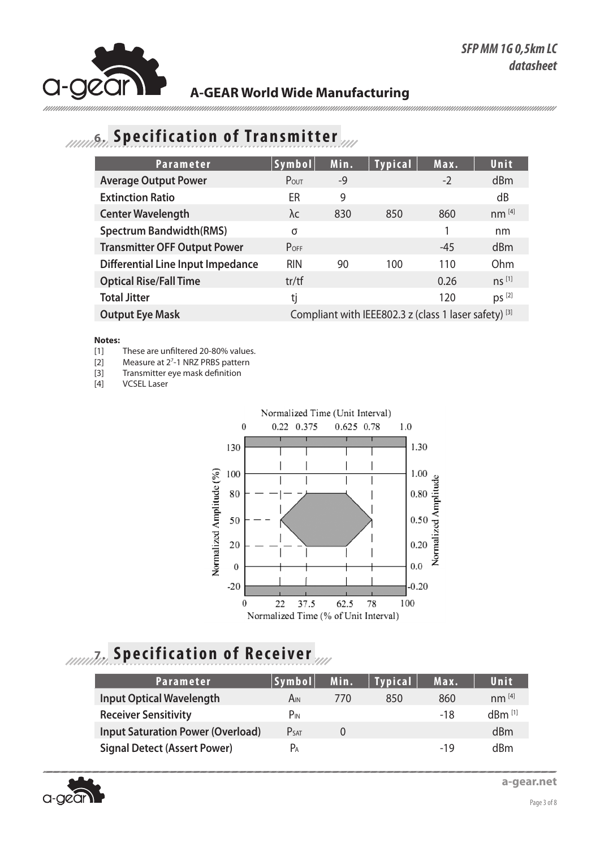## **6. Specification of Transmitter**

| <b>Parameter</b>                         | Symbol                                                | Min. | <b>Typical</b> | Max.  | Unit              |
|------------------------------------------|-------------------------------------------------------|------|----------------|-------|-------------------|
| <b>Average Output Power</b>              | POUT                                                  | $-9$ |                | $-2$  | dBm               |
| <b>Extinction Ratio</b>                  | ER                                                    | 9    |                |       | dB                |
| <b>Center Wavelength</b>                 | λc                                                    | 830  | 850            | 860   | $nm^{[4]}$        |
| <b>Spectrum Bandwidth(RMS)</b>           | σ                                                     |      |                |       | nm                |
| <b>Transmitter OFF Output Power</b>      | $P_{OFF}$                                             |      |                | $-45$ | dBm               |
| <b>Differential Line Input Impedance</b> | <b>RIN</b>                                            | 90   | 100            | 110   | Ohm               |
| <b>Optical Rise/Fall Time</b>            | tr/tf                                                 |      |                | 0.26  | $ns^{[1]}$        |
| <b>Total Jitter</b>                      | tj                                                    |      |                | 120   | DS <sup>[2]</sup> |
| <b>Output Eye Mask</b>                   | Compliant with IEEE802.3 z (class 1 laser safety) [3] |      |                |       |                   |

#### **Notes:**

[1] These are unfiltered 20-80% values.

[2] Measure at 2<sup>7</sup>-1 NRZ PRBS pattern

[3] Transmitter eye mask definition

[4] VCSEL Laser



# *AMARA* Specification of Receiver

| Parameter                                | Symbol      | Min. | <b>Typical</b> | Max. | Unit                 |
|------------------------------------------|-------------|------|----------------|------|----------------------|
| <b>Input Optical Wavelength</b>          | Ain         | 770  | 850            | 860  | $nm^{[4]}$           |
| <b>Receiver Sensitivity</b>              | $P_{IN}$    |      |                | -18  | $dBm$ <sup>[1]</sup> |
| <b>Input Saturation Power (Overload)</b> | <b>PSAT</b> |      |                |      | dBm                  |
| <b>Signal Detect (Assert Power)</b>      | $P_A$       |      |                | -19  | dBm                  |



**a-gear.net**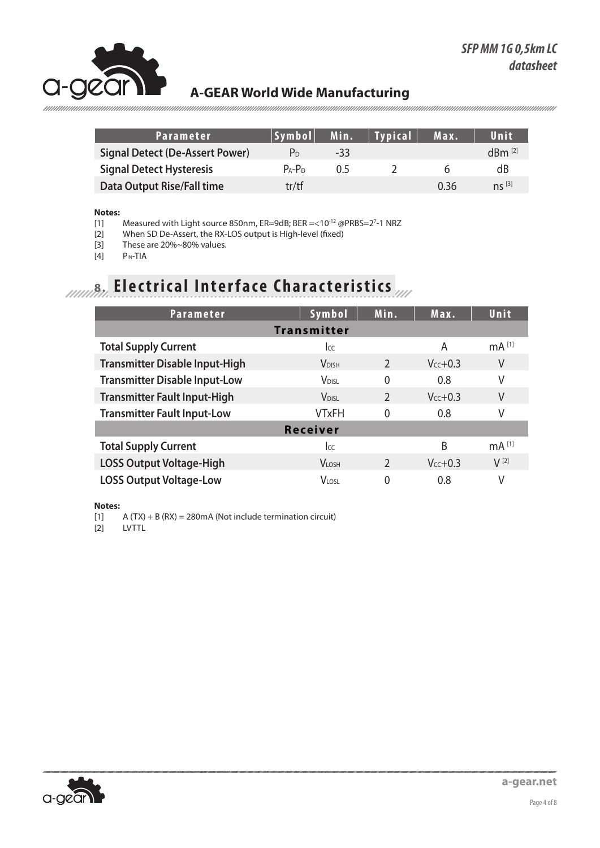

| Parameter                              | Symbol         | Min. | <b>Typical</b> | Max. | Unit                |
|----------------------------------------|----------------|------|----------------|------|---------------------|
| <b>Signal Detect (De-Assert Power)</b> | P <sub>D</sub> | -33  |                |      | $dBm^{[2]}$         |
| <b>Signal Detect Hysteresis</b>        | $P_A - P_D$    | 0.5  |                |      | dB                  |
| <b>Data Output Rise/Fall time</b>      | tr/tf          |      |                | 0.36 | $\mathsf{ns}^{[3]}$ |

#### **Notes:**

[1] Measured with Light source 850nm, ER=9dB; BER =<10<sup>-12</sup> @PRBS=2<sup>7</sup>-1 NRZ

[2] When SD De-Assert, the RX-LOS output is High-level (fixed)

[3] These are 20% $\sim$ 80% values.<br>[4] P<sub>IN</sub>-TIA

P<sub>IN-TIA</sub>

# *AMAR* **Electrical Interface Characteristics**

| <b>Parameter</b>                      | Symbol                   | Min.           | Max.      | Unit              |
|---------------------------------------|--------------------------|----------------|-----------|-------------------|
|                                       | <b>Transmitter</b>       |                |           |                   |
| <b>Total Supply Current</b>           | <b>I</b> cc              |                | A         | mA <sup>[1]</sup> |
| <b>Transmitter Disable Input-High</b> | <b>V</b> DISH            | $\overline{2}$ | $Vcc+0.3$ | V                 |
| <b>Transmitter Disable Input-Low</b>  | <b>V</b> <sub>DISL</sub> | $\Omega$       | 0.8       | V                 |
| <b>Transmitter Fault Input-High</b>   | <b>V</b> <sub>DISI</sub> | $\overline{2}$ | $Vcc+0.3$ | V                 |
| <b>Transmitter Fault Input-Low</b>    | <b>VTxFH</b>             | 0              | 0.8       | ٧                 |
|                                       | <b>Receiver</b>          |                |           |                   |
| <b>Total Supply Current</b>           | <b>I</b> cc              |                | B         | mA <sup>[1]</sup> |
| <b>LOSS Output Voltage-High</b>       | <b>VLOSH</b>             | $\mathcal{P}$  | $Vcc+0.3$ | $V^{[2]}$         |
| <b>LOSS Output Voltage-Low</b>        | <b>VLOSL</b>             | 0              | 0.8       | V                 |

**Notes:**

 $[1]$  A (TX) + B (RX) = 280mA (Not include termination circuit)

[2] LVTTL

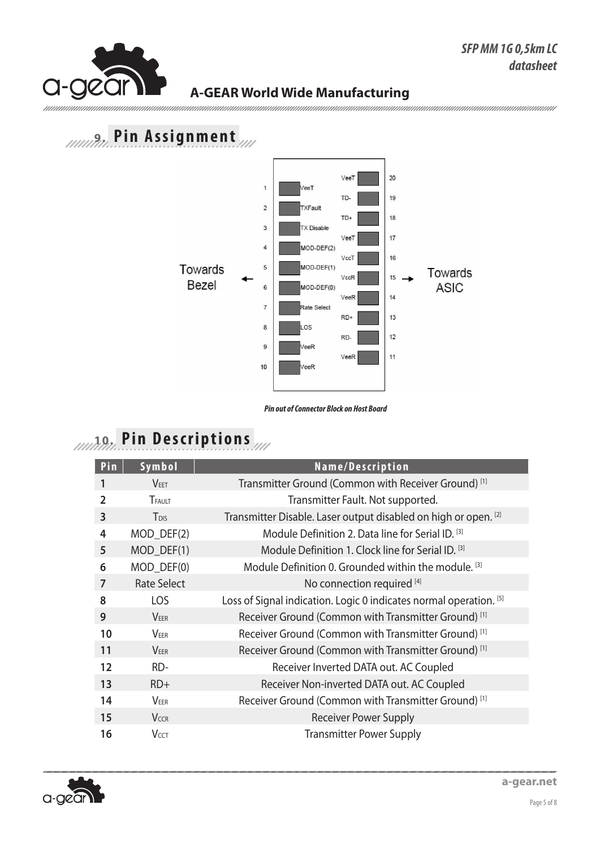mmmmm

### **A-GEAR World Wide Manufacturing**

## **9. Pin Assignment**



*Pin out of Connector Block on Host Board*

# **10. Pin Descriptions**

| Pin            | Symbol             | Name/Description                                                   |
|----------------|--------------------|--------------------------------------------------------------------|
|                | <b>VEET</b>        | Transmitter Ground (Common with Receiver Ground) <sup>[1]</sup>    |
| $\overline{2}$ | TFAULT             | Transmitter Fault. Not supported.                                  |
| 3              | T <sub>DIS</sub>   | Transmitter Disable. Laser output disabled on high or open. [2]    |
| 4              | MOD_DEF(2)         | Module Definition 2. Data line for Serial ID. [3]                  |
| 5              | MOD_DEF(1)         | Module Definition 1. Clock line for Serial ID. [3]                 |
| 6              | MOD_DEF(0)         | Module Definition 0. Grounded within the module. <sup>[3]</sup>    |
| 7              | <b>Rate Select</b> | No connection required [4]                                         |
| 8              | LOS                | Loss of Signal indication. Logic 0 indicates normal operation. [5] |
| 9              | <b>VEER</b>        | Receiver Ground (Common with Transmitter Ground) <sup>[1]</sup>    |
| 10             | VEER               | Receiver Ground (Common with Transmitter Ground) <sup>[1]</sup>    |
| 11             | <b>VEER</b>        | Receiver Ground (Common with Transmitter Ground) <sup>[1]</sup>    |
| 12             | RD-                | Receiver Inverted DATA out. AC Coupled                             |
| 13             | $RD+$              | Receiver Non-inverted DATA out. AC Coupled                         |
| 14             | VEER               | Receiver Ground (Common with Transmitter Ground) <sup>[1]</sup>    |
| 15             | <b>VCCR</b>        | <b>Receiver Power Supply</b>                                       |
| 16             | <b>VCCT</b>        | <b>Transmitter Power Supply</b>                                    |

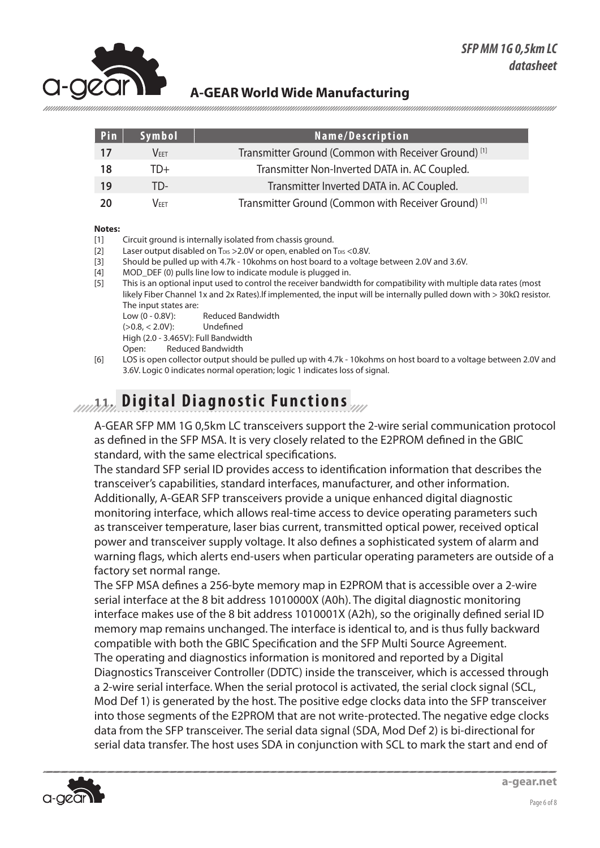

| Pin | Symbol           | Name/Description                                                |
|-----|------------------|-----------------------------------------------------------------|
| 17  | $\mathsf{V}$ fft | Transmitter Ground (Common with Receiver Ground) <sup>[1]</sup> |
| 18  | TD+              | Transmitter Non-Inverted DATA in. AC Coupled.                   |
| 19  | TD-              | Transmitter Inverted DATA in. AC Coupled.                       |
| 20  | Veet.            | Transmitter Ground (Common with Receiver Ground) <sup>[1]</sup> |

#### **Notes:**

- [1] Circuit ground is internally isolated from chassis ground.
- [2] Laser output disabled on T<sub>DIS</sub> > 2.0V or open, enabled on T<sub>DIS</sub> < 0.8V.
- [3] Should be pulled up with 4.7k 10kohms on host board to a voltage between 2.0V and 3.6V.
- [4] MOD\_DEF (0) pulls line low to indicate module is plugged in.
- [5] This is an optional input used to control the receiver bandwidth for compatibility with multiple data rates (most likely Fiber Channel 1x and 2x Rates).lf implemented, the input will be internally pulled down with > 30kΩ resistor. The input states are:
	- Low (0 0.8V): Reduced Bandwidth
	- (>0.8, < 2.0V): Undefined High (2.0 - 3.465V): Full Bandwidth
	- Open: Reduced Bandwidth
	-
- [6] LOS is open collector output should be pulled up with 4.7k 10kohms on host board to a voltage between 2.0V and 3.6V. Logic 0 indicates normal operation; logic 1 indicates loss of signal.

### **11. Digital Diagnostic Functions**

A-GEAR SFP MM 1G 0,5km LC transceivers support the 2-wire serial communication protocol as defined in the SFP MSA. It is very closely related to the E2PROM defined in the GBIC standard, with the same electrical specifications.

The standard SFP serial ID provides access to identification information that describes the transceiver's capabilities, standard interfaces, manufacturer, and other information. Additionally, A-GEAR SFP transceivers provide a unique enhanced digital diagnostic monitoring interface, which allows real-time access to device operating parameters such as transceiver temperature, laser bias current, transmitted optical power, received optical power and transceiver supply voltage. It also defines a sophisticated system of alarm and warning flags, which alerts end-users when particular operating parameters are outside of a factory set normal range.

The SFP MSA defines a 256-byte memory map in E2PROM that is accessible over a 2-wire serial interface at the 8 bit address 1010000X (A0h). The digital diagnostic monitoring interface makes use of the 8 bit address 1010001X (A2h), so the originally defined serial ID memory map remains unchanged. The interface is identical to, and is thus fully backward compatible with both the GBIC Specification and the SFP Multi Source Agreement. The operating and diagnostics information is monitored and reported by a Digital Diagnostics Transceiver Controller (DDTC) inside the transceiver, which is accessed through a 2-wire serial interface. When the serial protocol is activated, the serial clock signal (SCL, Mod Def 1) is generated by the host. The positive edge clocks data into the SFP transceiver into those segments of the E2PROM that are not write-protected. The negative edge clocks data from the SFP transceiver. The serial data signal (SDA, Mod Def 2) is bi-directional for serial data transfer. The host uses SDA in conjunction with SCL to mark the start and end of

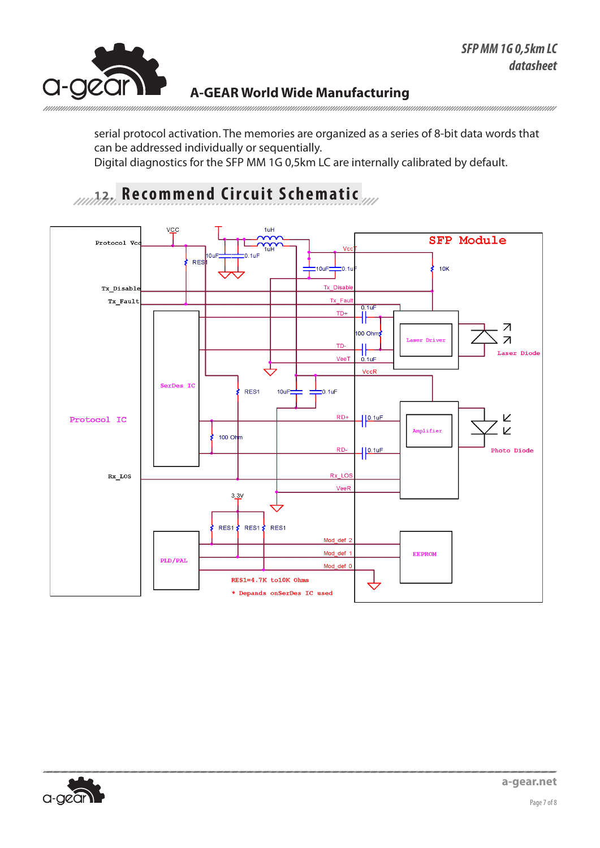

serial protocol activation. The memories are organized as a series of 8-bit data words that can be addressed individually or sequentially. Digital diagnostics for the SFP MM 1G 0,5km LC are internally calibrated by default.